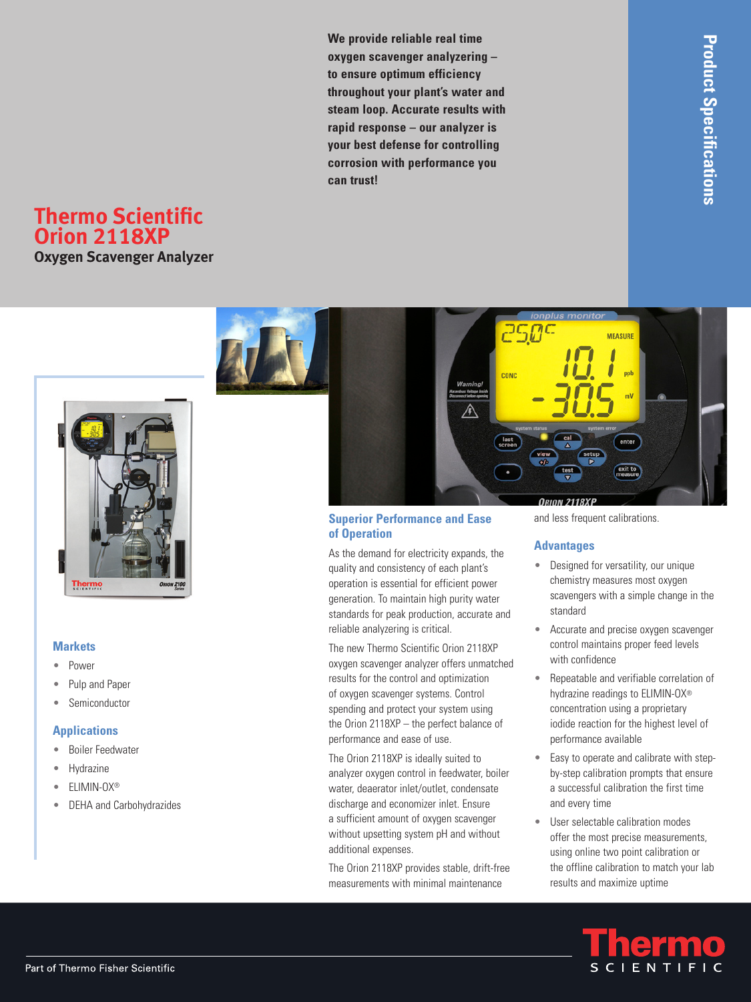**We provide reliable real time oxygen scavenger analyzering – to ensure optimum efficiency throughout your plant's water and steam loop. Accurate results with rapid response – our analyzer is your best defense for controlling corrosion with performance you can trust!**

# **Thermo Scientific Orion 2118XP**

**Oxygen Scavenger Analyzer**



#### **Markets**

- Power •
- Pulp and Paper •
- Semiconductor •

#### **Applications**

- Boiler Feedwater •
- Hydrazine •
- ELIMIN-OX® •
- DEHA and Carbohydrazides •



#### **Superior Performance and Ease of Operation**

As the demand for electricity expands, the quality and consistency of each plant's operation is essential for efficient power generation. To maintain high purity water standards for peak production, accurate and reliable analyzering is critical.

The new Thermo Scientific Orion 2118XP oxygen scavenger analyzer offers unmatched results for the control and optimization of oxygen scavenger systems. Control spending and protect your system using the Orion 2118XP – the perfect balance of performance and ease of use.

The Orion 2118XP is ideally suited to analyzer oxygen control in feedwater, boiler water, deaerator inlet/outlet, condensate discharge and economizer inlet. Ensure a sufficient amount of oxygen scavenger without upsetting system pH and without additional expenses.

The Orion 2118XP provides stable, drift-free measurements with minimal maintenance

and less frequent calibrations.

#### **Advantages**

- Designed for versatility, our unique chemistry measures most oxygen scavengers with a simple change in the standard
- Accurate and precise oxygen scavenger control maintains proper feed levels with confidence •
- Repeatable and verifiable correlation of hydrazine readings to ELIMIN-OX® concentration using a proprietary iodide reaction for the highest level of performance available •
- Easy to operate and calibrate with stepby-step calibration prompts that ensure a successful calibration the first time and every time •
- User selectable calibration modes offer the most precise measurements, using online two point calibration or the offline calibration to match your lab results and maximize uptime

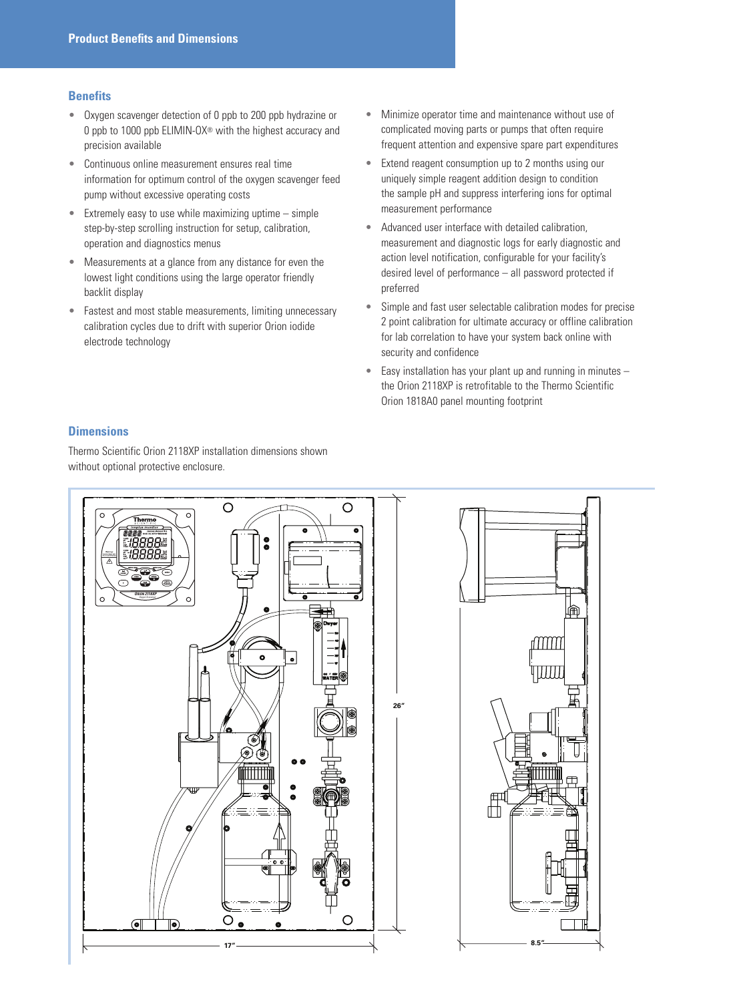#### **Benefits**

- Oxygen scavenger detection of 0 ppb to 200 ppb hydrazine or 0 ppb to 1000 ppb ELIMIN-OX® with the highest accuracy and precision available
- Continuous online measurement ensures real time information for optimum control of the oxygen scavenger feed pump without excessive operating costs •
- Extremely easy to use while maximizing uptime simple step-by-step scrolling instruction for setup, calibration, operation and diagnostics menus •
- Measurements at a glance from any distance for even the lowest light conditions using the large operator friendly backlit display •
- Fastest and most stable measurements, limiting unnecessary calibration cycles due to drift with superior Orion iodide electrode technology •
- Minimize operator time and maintenance without use of complicated moving parts or pumps that often require frequent attention and expensive spare part expenditures •
- Extend reagent consumption up to 2 months using our uniquely simple reagent addition design to condition the sample pH and suppress interfering ions for optimal measurement performance •
- Advanced user interface with detailed calibration, measurement and diagnostic logs for early diagnostic and action level notification, configurable for your facility's desired level of performance – all password protected if preferred •
- Simple and fast user selectable calibration modes for precise 2 point calibration for ultimate accuracy or offline calibration for lab correlation to have your system back online with security and confidence •
- Easy installation has your plant up and running in minutes the Orion 2118XP is retrofitable to the Thermo Scientific Orion 1818A0 panel mounting footprint •

### **Dimensions**

Thermo Scientific Orion 2118XP installation dimensions shown without optional protective enclosure.



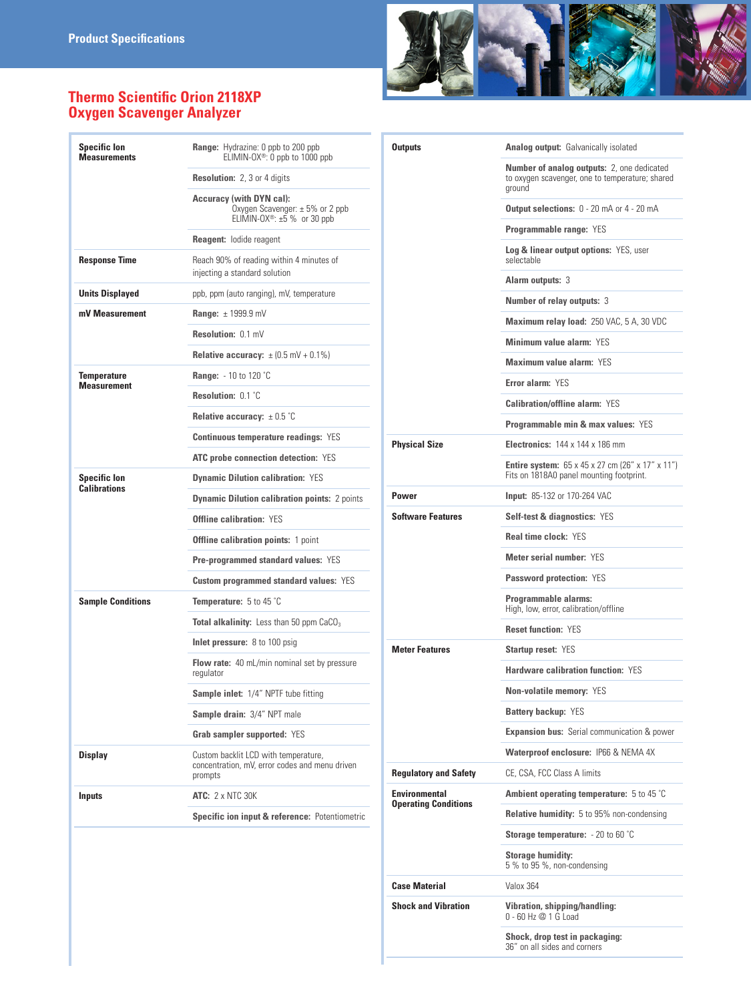## **Thermo Scientific Orion 2118XP Oxygen Scavenger Analyzer**

| <b>Specific lon</b><br><b>Measurements</b> | <b>Range:</b> Hydrazine: 0 ppb to 200 ppb<br>ELIMIN-OX <sup>®</sup> : 0 ppb to 1000 ppb                                |
|--------------------------------------------|------------------------------------------------------------------------------------------------------------------------|
|                                            | <b>Resolution: 2, 3 or 4 digits</b>                                                                                    |
|                                            | <b>Accuracy (with DYN cal):</b><br>Oxygen Scavenger: $\pm$ 5% or 2 ppb<br>ELIMIN-OX <sup>®</sup> : $\pm 5$ % or 30 ppb |
|                                            | <b>Reagent: lodide reagent</b>                                                                                         |
| <b>Response Time</b>                       | Reach 90% of reading within 4 minutes of<br>injecting a standard solution                                              |
| <b>Units Displayed</b>                     | ppb, ppm (auto ranging), mV, temperature                                                                               |
| mV Measurement                             | Range: $\pm$ 1999.9 mV                                                                                                 |
|                                            | Resolution: 0.1 mV                                                                                                     |
|                                            | <b>Relative accuracy:</b> $\pm (0.5 \text{ mV} + 0.1\%)$                                                               |
| Temperature<br><b>Measurement</b>          | <b>Range:</b> - 10 to 120 °C                                                                                           |
|                                            | Resolution: 0.1 °C                                                                                                     |
|                                            | Relative accuracy: $\pm$ 0.5 °C                                                                                        |
|                                            | <b>Continuous temperature readings: YES</b>                                                                            |
|                                            | <b>ATC probe connection detection: YES</b>                                                                             |
| <b>Specific lon</b><br><b>Calibrations</b> | <b>Dynamic Dilution calibration: YES</b>                                                                               |
|                                            | <b>Dynamic Dilution calibration points: 2 points</b>                                                                   |
|                                            | <b>Offline calibration: YES</b>                                                                                        |
|                                            | <b>Offline calibration points: 1 point</b>                                                                             |
|                                            | <b>Pre-programmed standard values: YES</b>                                                                             |
|                                            | <b>Custom programmed standard values: YES</b>                                                                          |
| <b>Sample Conditions</b>                   | <b>Temperature:</b> $5$ to 45 $^{\circ}$ C                                                                             |
|                                            | <b>Total alkalinity:</b> Less than 50 ppm $CaCO3$                                                                      |
|                                            | Inlet pressure: 8 to 100 psig                                                                                          |
|                                            | Flow rate: 40 mL/min nominal set by pressure<br>regulator                                                              |
|                                            | Sample inlet: 1/4" NPTF tube fitting                                                                                   |
|                                            | Sample drain: 3/4" NPT male                                                                                            |
|                                            | Grab sampler supported: YES                                                                                            |
| Display                                    | Custom backlit LCD with temperature,<br>concentration, mV, error codes and menu driven<br>prompts                      |
| <b>Inputs</b>                              | <b>ATC: 2 x NTC 30K</b>                                                                                                |
|                                            | Specific ion input & reference: Potentiometric                                                                         |
|                                            |                                                                                                                        |



| <b>Outputs</b>                                      | <b>Analog output:</b> Galvanically isolated                                                                                   |
|-----------------------------------------------------|-------------------------------------------------------------------------------------------------------------------------------|
|                                                     | <b>Number of analog outputs: 2, one dedicated</b><br>to oxygen scavenger, one to temperature; shared<br>ground                |
|                                                     | <b>Output selections:</b> 0 - 20 mA or 4 - 20 mA                                                                              |
|                                                     | <b>Programmable range: YES</b>                                                                                                |
|                                                     | <b>Log &amp; linear output options: YES, user</b><br>selectable                                                               |
|                                                     | <b>Alarm outputs: 3</b>                                                                                                       |
|                                                     | <b>Number of relay outputs: 3</b>                                                                                             |
|                                                     | <b>Maximum relay load: 250 VAC, 5 A, 30 VDC</b>                                                                               |
|                                                     | Minimum value alarm: YES                                                                                                      |
|                                                     | Maximum value alarm: YES                                                                                                      |
|                                                     | Error alarm: YES                                                                                                              |
|                                                     | <b>Calibration/offline alarm: YES</b>                                                                                         |
|                                                     | <b>Programmable min &amp; max values: YES</b>                                                                                 |
| <b>Physical Size</b>                                | <b>Electronics: 144 x 144 x 186 mm</b>                                                                                        |
|                                                     | <b>Entire system:</b> $65 \times 45 \times 27$ cm (26" $\times$ 17" $\times$ 11")<br>Fits on 1818A0 panel mounting footprint. |
| <b>Power</b>                                        | Input: 85-132 or 170-264 VAC                                                                                                  |
| <b>Software Features</b>                            | <b>Self-test &amp; diagnostics: YES</b>                                                                                       |
|                                                     | <b>Real time clock: YES</b>                                                                                                   |
|                                                     | <b>Meter serial number: YES</b>                                                                                               |
|                                                     | <b>Password protection: YES</b>                                                                                               |
|                                                     | Programmable alarms:<br>High, low, error, calibration/offline                                                                 |
|                                                     | <b>Reset function: YES</b>                                                                                                    |
| <b>Meter Features</b>                               | <b>Startup reset: YES</b>                                                                                                     |
|                                                     | <b>Hardware calibration function: YES</b>                                                                                     |
|                                                     | <b>Non-volatile memory: YES</b>                                                                                               |
|                                                     | <b>Battery backup: YES</b>                                                                                                    |
|                                                     | <b>Expansion bus:</b> Serial communication & power                                                                            |
|                                                     | Waterproof enclosure: IP66 & NEMA 4X                                                                                          |
| <b>Regulatory and Safety</b>                        | CE. CSA. FCC Class A limits                                                                                                   |
| <b>Environmental</b><br><b>Operating Conditions</b> | <b>Ambient operating temperature:</b> 5 to 45 $^{\circ}$ C                                                                    |
|                                                     | <b>Relative humidity:</b> 5 to 95% non-condensing                                                                             |
|                                                     | <b>Storage temperature:</b> $-20$ to 60 $^{\circ}$ C                                                                          |
|                                                     |                                                                                                                               |
|                                                     | <b>Storage humidity:</b><br>5 % to 95 %, non-condensing                                                                       |
| <b>Case Material</b>                                | Valox 364                                                                                                                     |
| <b>Shock and Vibration</b>                          | Vibration, shipping/handling:<br>$0 - 60$ Hz $@ 1$ G Load                                                                     |